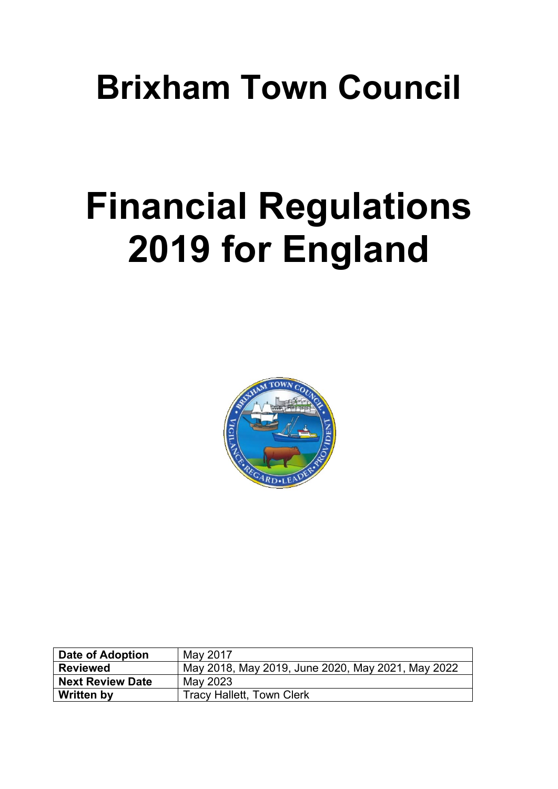# **Brixham Town Council**

# **Financial Regulations 2019 for England**



| Date of Adoption        | May 2017                                          |
|-------------------------|---------------------------------------------------|
| <b>Reviewed</b>         | May 2018, May 2019, June 2020, May 2021, May 2022 |
| <b>Next Review Date</b> | May 2023                                          |
| <b>Written by</b>       | <b>Tracy Hallett, Town Clerk</b>                  |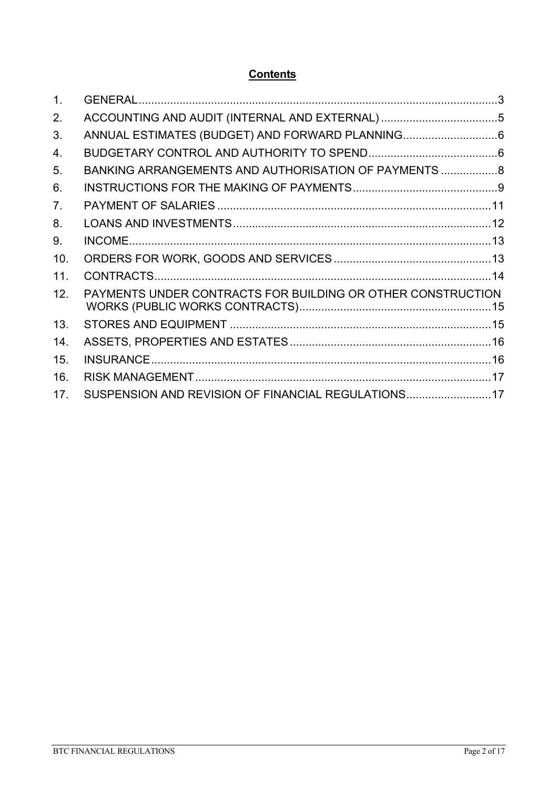## **Contents**

| 1 <sub>1</sub> |                                                             |  |
|----------------|-------------------------------------------------------------|--|
| 2.             |                                                             |  |
| 3.             |                                                             |  |
| 4.             |                                                             |  |
| 5.             | BANKING ARRANGEMENTS AND AUTHORISATION OF PAYMENTS  8       |  |
| 6.             |                                                             |  |
| 7 <sub>1</sub> |                                                             |  |
| 8.             |                                                             |  |
| 9.             |                                                             |  |
| 10.            |                                                             |  |
| 11.            |                                                             |  |
| 12.            | PAYMENTS UNDER CONTRACTS FOR BUILDING OR OTHER CONSTRUCTION |  |
| 13.            |                                                             |  |
| 14.            |                                                             |  |
| 15.            |                                                             |  |
| 16.            |                                                             |  |
| 17.            | SUSPENSION AND REVISION OF FINANCIAL REGULATIONS17          |  |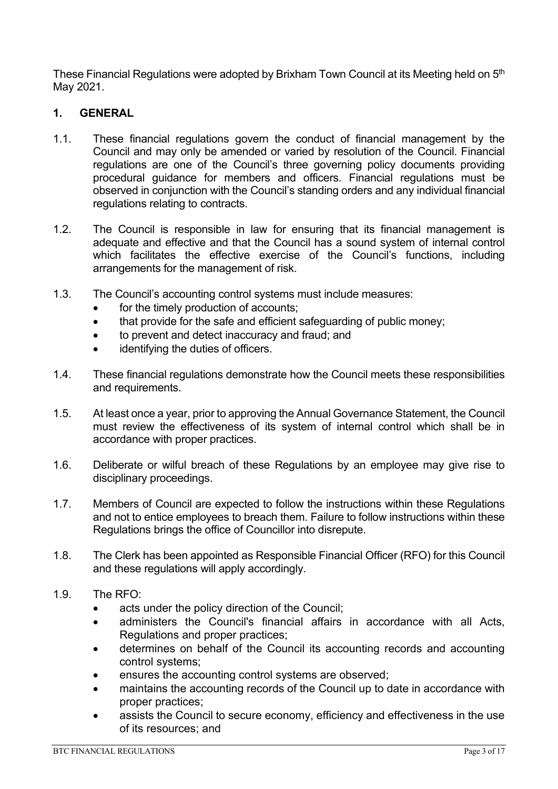These Financial Regulations were adopted by Brixham Town Council at its Meeting held on 5<sup>th</sup> May 2021.

#### <span id="page-2-0"></span>**1. GENERAL**

- 1.1. These financial regulations govern the conduct of financial management by the Council and may only be amended or varied by resolution of the Council. Financial regulations are one of the Council's three governing policy documents providing procedural guidance for members and officers. Financial regulations must be observed in conjunction with the Council's standing orders and any individual financial regulations relating to contracts.
- 1.2. The Council is responsible in law for ensuring that its financial management is adequate and effective and that the Council has a sound system of internal control which facilitates the effective exercise of the Council's functions, including arrangements for the management of risk.
- 1.3. The Council's accounting control systems must include measures:
	- for the timely production of accounts;
	- that provide for the safe and efficient safeguarding of public money;
	- to prevent and detect inaccuracy and fraud; and
	- identifying the duties of officers.
- 1.4. These financial regulations demonstrate how the Council meets these responsibilities and requirements.
- 1.5. At least once a year, prior to approving the Annual Governance Statement, the Council must review the effectiveness of its system of internal control which shall be in accordance with proper practices.
- 1.6. Deliberate or wilful breach of these Regulations by an employee may give rise to disciplinary proceedings.
- 1.7. Members of Council are expected to follow the instructions within these Regulations and not to entice employees to breach them. Failure to follow instructions within these Regulations brings the office of Councillor into disrepute.
- 1.8. The Clerk has been appointed as Responsible Financial Officer (RFO) for this Council and these regulations will apply accordingly.
- 1.9. The RFO:
	- acts under the policy direction of the Council;
	- administers the Council's financial affairs in accordance with all Acts, Regulations and proper practices;
	- determines on behalf of the Council its accounting records and accounting control systems;
	- ensures the accounting control systems are observed:
	- maintains the accounting records of the Council up to date in accordance with proper practices;
	- assists the Council to secure economy, efficiency and effectiveness in the use of its resources; and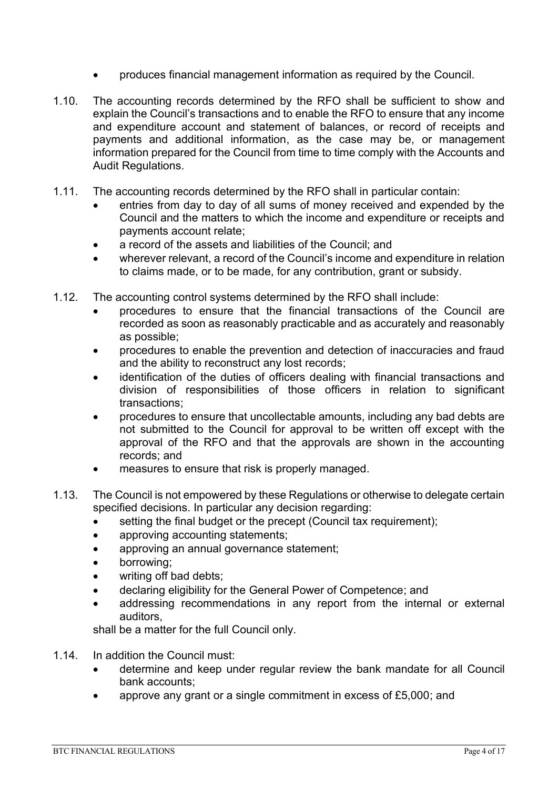- produces financial management information as required by the Council.
- 1.10. The accounting records determined by the RFO shall be sufficient to show and explain the Council's transactions and to enable the RFO to ensure that any income and expenditure account and statement of balances, or record of receipts and payments and additional information, as the case may be, or management information prepared for the Council from time to time comply with the Accounts and Audit Regulations.
- 1.11. The accounting records determined by the RFO shall in particular contain:
	- entries from day to day of all sums of money received and expended by the Council and the matters to which the income and expenditure or receipts and payments account relate;
	- a record of the assets and liabilities of the Council; and
	- wherever relevant, a record of the Council's income and expenditure in relation to claims made, or to be made, for any contribution, grant or subsidy.
- 1.12. The accounting control systems determined by the RFO shall include:
	- procedures to ensure that the financial transactions of the Council are recorded as soon as reasonably practicable and as accurately and reasonably as possible;
	- procedures to enable the prevention and detection of inaccuracies and fraud and the ability to reconstruct any lost records;
	- identification of the duties of officers dealing with financial transactions and division of responsibilities of those officers in relation to significant transactions;
	- procedures to ensure that uncollectable amounts, including any bad debts are not submitted to the Council for approval to be written off except with the approval of the RFO and that the approvals are shown in the accounting records; and
	- measures to ensure that risk is properly managed.
- 1.13. The Council is not empowered by these Regulations or otherwise to delegate certain specified decisions. In particular any decision regarding:
	- setting the final budget or the precept (Council tax requirement);
	- approving accounting statements;
	- approving an annual governance statement;
	- borrowing;
	- writing off bad debts;
	- declaring eligibility for the General Power of Competence; and
	- addressing recommendations in any report from the internal or external auditors,

shall be a matter for the full Council only.

- 1.14. In addition the Council must:
	- determine and keep under regular review the bank mandate for all Council bank accounts;
	- approve any grant or a single commitment in excess of £5,000; and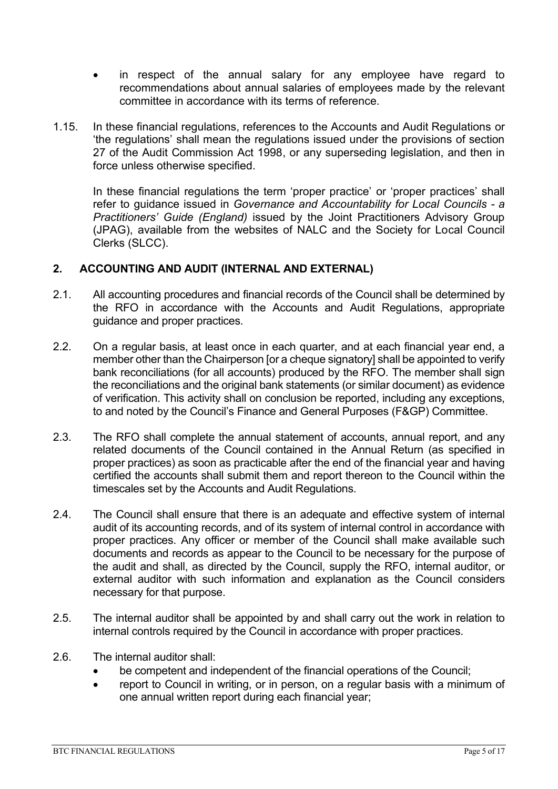- in respect of the annual salary for any employee have regard to recommendations about annual salaries of employees made by the relevant committee in accordance with its terms of reference.
- 1.15. In these financial regulations, references to the Accounts and Audit Regulations or 'the regulations' shall mean the regulations issued under the provisions of section 27 of the Audit Commission Act 1998, or any superseding legislation, and then in force unless otherwise specified.

In these financial regulations the term 'proper practice' or 'proper practices' shall refer to guidance issued in *Governance and Accountability for Local Councils - a Practitioners' Guide (England)* issued by the Joint Practitioners Advisory Group (JPAG), available from the websites of NALC and the Society for Local Council Clerks (SLCC).

#### <span id="page-4-0"></span>**2. ACCOUNTING AND AUDIT (INTERNAL AND EXTERNAL)**

- 2.1. All accounting procedures and financial records of the Council shall be determined by the RFO in accordance with the Accounts and Audit Regulations, appropriate guidance and proper practices.
- 2.2. On a regular basis, at least once in each quarter, and at each financial year end, a member other than the Chairperson [or a cheque signatory] shall be appointed to verify bank reconciliations (for all accounts) produced by the RFO. The member shall sign the reconciliations and the original bank statements (or similar document) as evidence of verification. This activity shall on conclusion be reported, including any exceptions, to and noted by the Council's Finance and General Purposes (F&GP) Committee.
- 2.3. The RFO shall complete the annual statement of accounts, annual report, and any related documents of the Council contained in the Annual Return (as specified in proper practices) as soon as practicable after the end of the financial year and having certified the accounts shall submit them and report thereon to the Council within the timescales set by the Accounts and Audit Regulations.
- 2.4. The Council shall ensure that there is an adequate and effective system of internal audit of its accounting records, and of its system of internal control in accordance with proper practices. Any officer or member of the Council shall make available such documents and records as appear to the Council to be necessary for the purpose of the audit and shall, as directed by the Council, supply the RFO, internal auditor, or external auditor with such information and explanation as the Council considers necessary for that purpose.
- 2.5. The internal auditor shall be appointed by and shall carry out the work in relation to internal controls required by the Council in accordance with proper practices.
- 2.6. The internal auditor shall:
	- be competent and independent of the financial operations of the Council;
	- report to Council in writing, or in person, on a regular basis with a minimum of one annual written report during each financial year;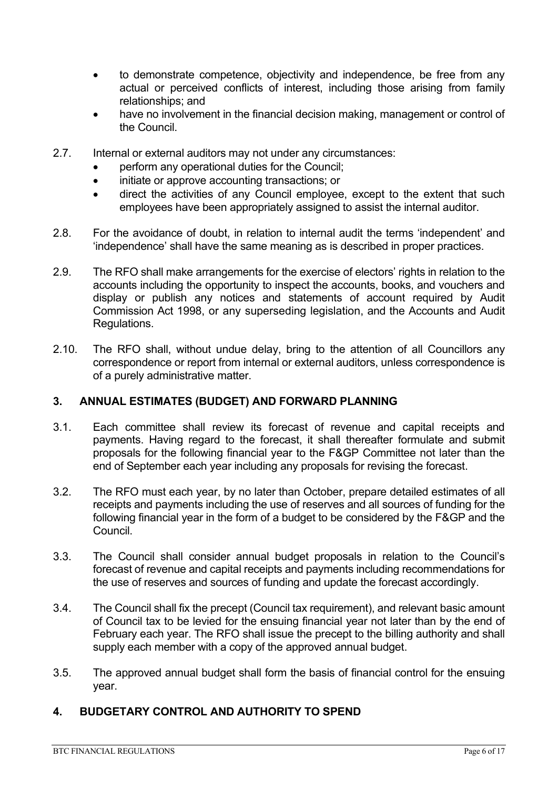- to demonstrate competence, objectivity and independence, be free from any actual or perceived conflicts of interest, including those arising from family relationships; and
- have no involvement in the financial decision making, management or control of the Council.
- 2.7. Internal or external auditors may not under any circumstances:
	- perform any operational duties for the Council;
	- initiate or approve accounting transactions; or
	- direct the activities of any Council employee, except to the extent that such employees have been appropriately assigned to assist the internal auditor.
- 2.8. For the avoidance of doubt, in relation to internal audit the terms 'independent' and 'independence' shall have the same meaning as is described in proper practices.
- 2.9. The RFO shall make arrangements for the exercise of electors' rights in relation to the accounts including the opportunity to inspect the accounts, books, and vouchers and display or publish any notices and statements of account required by Audit Commission Act 1998, or any superseding legislation, and the Accounts and Audit Regulations.
- 2.10. The RFO shall, without undue delay, bring to the attention of all Councillors any correspondence or report from internal or external auditors, unless correspondence is of a purely administrative matter.

#### <span id="page-5-0"></span>**3. ANNUAL ESTIMATES (BUDGET) AND FORWARD PLANNING**

- 3.1. Each committee shall review its forecast of revenue and capital receipts and payments. Having regard to the forecast, it shall thereafter formulate and submit proposals for the following financial year to the F&GP Committee not later than the end of September each year including any proposals for revising the forecast.
- 3.2. The RFO must each year, by no later than October, prepare detailed estimates of all receipts and payments including the use of reserves and all sources of funding for the following financial year in the form of a budget to be considered by the F&GP and the Council.
- 3.3. The Council shall consider annual budget proposals in relation to the Council's forecast of revenue and capital receipts and payments including recommendations for the use of reserves and sources of funding and update the forecast accordingly.
- 3.4. The Council shall fix the precept (Council tax requirement), and relevant basic amount of Council tax to be levied for the ensuing financial year not later than by the end of February each year. The RFO shall issue the precept to the billing authority and shall supply each member with a copy of the approved annual budget.
- 3.5. The approved annual budget shall form the basis of financial control for the ensuing year.

#### <span id="page-5-1"></span>**4. BUDGETARY CONTROL AND AUTHORITY TO SPEND**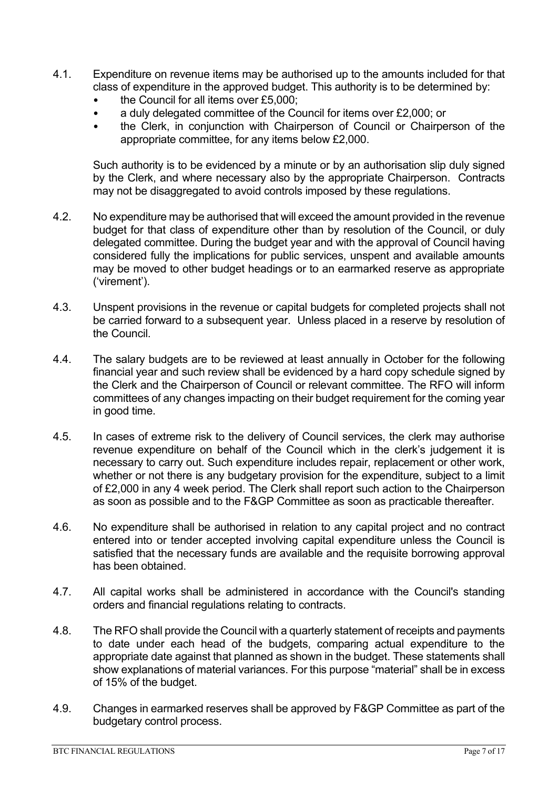- 4.1. Expenditure on revenue items may be authorised up to the amounts included for that class of expenditure in the approved budget. This authority is to be determined by:
	- the Council for all items over £5,000;
	- a duly delegated committee of the Council for items over £2,000; or
	- the Clerk, in conjunction with Chairperson of Council or Chairperson of the appropriate committee, for any items below £2,000.

Such authority is to be evidenced by a minute or by an authorisation slip duly signed by the Clerk, and where necessary also by the appropriate Chairperson. Contracts may not be disaggregated to avoid controls imposed by these regulations.

- 4.2. No expenditure may be authorised that will exceed the amount provided in the revenue budget for that class of expenditure other than by resolution of the Council, or duly delegated committee. During the budget year and with the approval of Council having considered fully the implications for public services, unspent and available amounts may be moved to other budget headings or to an earmarked reserve as appropriate ('virement').
- 4.3. Unspent provisions in the revenue or capital budgets for completed projects shall not be carried forward to a subsequent year. Unless placed in a reserve by resolution of the Council.
- 4.4. The salary budgets are to be reviewed at least annually in October for the following financial year and such review shall be evidenced by a hard copy schedule signed by the Clerk and the Chairperson of Council or relevant committee. The RFO will inform committees of any changes impacting on their budget requirement for the coming year in good time.
- 4.5. In cases of extreme risk to the delivery of Council services, the clerk may authorise revenue expenditure on behalf of the Council which in the clerk's judgement it is necessary to carry out. Such expenditure includes repair, replacement or other work, whether or not there is any budgetary provision for the expenditure, subject to a limit of £2,000 in any 4 week period. The Clerk shall report such action to the Chairperson as soon as possible and to the F&GP Committee as soon as practicable thereafter.
- 4.6. No expenditure shall be authorised in relation to any capital project and no contract entered into or tender accepted involving capital expenditure unless the Council is satisfied that the necessary funds are available and the requisite borrowing approval has been obtained.
- 4.7. All capital works shall be administered in accordance with the Council's standing orders and financial regulations relating to contracts.
- 4.8. The RFO shall provide the Council with a quarterly statement of receipts and payments to date under each head of the budgets, comparing actual expenditure to the appropriate date against that planned as shown in the budget. These statements shall show explanations of material variances. For this purpose "material" shall be in excess of 15% of the budget.
- 4.9. Changes in earmarked reserves shall be approved by F&GP Committee as part of the budgetary control process.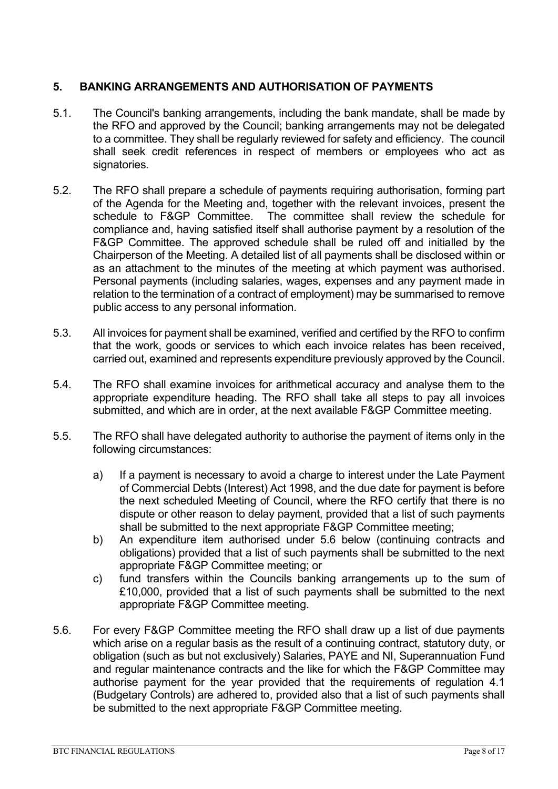#### <span id="page-7-0"></span>**5. BANKING ARRANGEMENTS AND AUTHORISATION OF PAYMENTS**

- 5.1. The Council's banking arrangements, including the bank mandate, shall be made by the RFO and approved by the Council; banking arrangements may not be delegated to a committee. They shall be regularly reviewed for safety and efficiency. The council shall seek credit references in respect of members or employees who act as signatories.
- 5.2. The RFO shall prepare a schedule of payments requiring authorisation, forming part of the Agenda for the Meeting and, together with the relevant invoices, present the schedule to F&GP Committee. The committee shall review the schedule for compliance and, having satisfied itself shall authorise payment by a resolution of the F&GP Committee. The approved schedule shall be ruled off and initialled by the Chairperson of the Meeting. A detailed list of all payments shall be disclosed within or as an attachment to the minutes of the meeting at which payment was authorised. Personal payments (including salaries, wages, expenses and any payment made in relation to the termination of a contract of employment) may be summarised to remove public access to any personal information.
- 5.3. All invoices for payment shall be examined, verified and certified by the RFO to confirm that the work, goods or services to which each invoice relates has been received, carried out, examined and represents expenditure previously approved by the Council.
- 5.4. The RFO shall examine invoices for arithmetical accuracy and analyse them to the appropriate expenditure heading. The RFO shall take all steps to pay all invoices submitted, and which are in order, at the next available F&GP Committee meeting.
- 5.5. The RFO shall have delegated authority to authorise the payment of items only in the following circumstances:
	- a) If a payment is necessary to avoid a charge to interest under the Late Payment of Commercial Debts (Interest) Act 1998, and the due date for payment is before the next scheduled Meeting of Council, where the RFO certify that there is no dispute or other reason to delay payment, provided that a list of such payments shall be submitted to the next appropriate F&GP Committee meeting;
	- b) An expenditure item authorised under 5.6 below (continuing contracts and obligations) provided that a list of such payments shall be submitted to the next appropriate F&GP Committee meeting; or
	- c) fund transfers within the Councils banking arrangements up to the sum of £10,000, provided that a list of such payments shall be submitted to the next appropriate F&GP Committee meeting.
- 5.6. For every F&GP Committee meeting the RFO shall draw up a list of due payments which arise on a regular basis as the result of a continuing contract, statutory duty, or obligation (such as but not exclusively) Salaries, PAYE and NI, Superannuation Fund and regular maintenance contracts and the like for which the F&GP Committee may authorise payment for the year provided that the requirements of regulation 4.1 (Budgetary Controls) are adhered to, provided also that a list of such payments shall be submitted to the next appropriate F&GP Committee meeting.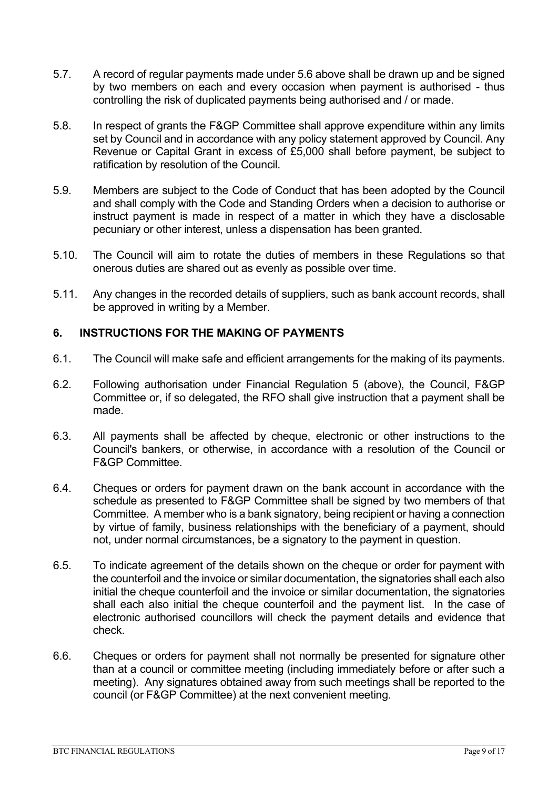- 5.7. A record of regular payments made under 5.6 above shall be drawn up and be signed by two members on each and every occasion when payment is authorised - thus controlling the risk of duplicated payments being authorised and / or made.
- 5.8. In respect of grants the F&GP Committee shall approve expenditure within any limits set by Council and in accordance with any policy statement approved by Council. Any Revenue or Capital Grant in excess of £5,000 shall before payment, be subject to ratification by resolution of the Council.
- 5.9. Members are subject to the Code of Conduct that has been adopted by the Council and shall comply with the Code and Standing Orders when a decision to authorise or instruct payment is made in respect of a matter in which they have a disclosable pecuniary or other interest, unless a dispensation has been granted.
- 5.10. The Council will aim to rotate the duties of members in these Regulations so that onerous duties are shared out as evenly as possible over time.
- 5.11. Any changes in the recorded details of suppliers, such as bank account records, shall be approved in writing by a Member.

#### <span id="page-8-0"></span>**6. INSTRUCTIONS FOR THE MAKING OF PAYMENTS**

- 6.1. The Council will make safe and efficient arrangements for the making of its payments.
- 6.2. Following authorisation under Financial Regulation 5 (above), the Council, F&GP Committee or, if so delegated, the RFO shall give instruction that a payment shall be made.
- 6.3. All payments shall be affected by cheque, electronic or other instructions to the Council's bankers, or otherwise, in accordance with a resolution of the Council or F&GP Committee.
- 6.4. Cheques or orders for payment drawn on the bank account in accordance with the schedule as presented to F&GP Committee shall be signed by two members of that Committee. A member who is a bank signatory, being recipient or having a connection by virtue of family, business relationships with the beneficiary of a payment, should not, under normal circumstances, be a signatory to the payment in question.
- 6.5. To indicate agreement of the details shown on the cheque or order for payment with the counterfoil and the invoice or similar documentation, the signatories shall each also initial the cheque counterfoil and the invoice or similar documentation, the signatories shall each also initial the cheque counterfoil and the payment list. In the case of electronic authorised councillors will check the payment details and evidence that check.
- 6.6. Cheques or orders for payment shall not normally be presented for signature other than at a council or committee meeting (including immediately before or after such a meeting). Any signatures obtained away from such meetings shall be reported to the council (or F&GP Committee) at the next convenient meeting.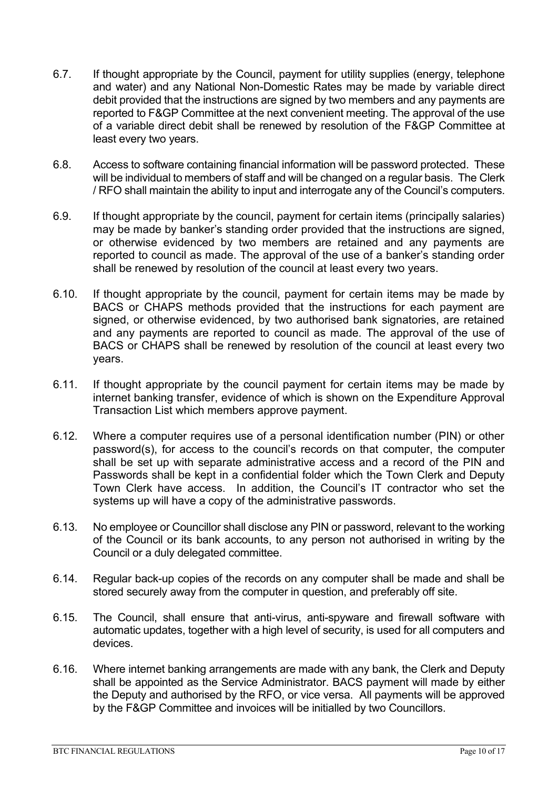- 6.7. If thought appropriate by the Council, payment for utility supplies (energy, telephone and water) and any National Non-Domestic Rates may be made by variable direct debit provided that the instructions are signed by two members and any payments are reported to F&GP Committee at the next convenient meeting. The approval of the use of a variable direct debit shall be renewed by resolution of the F&GP Committee at least every two years.
- 6.8. Access to software containing financial information will be password protected. These will be individual to members of staff and will be changed on a regular basis. The Clerk / RFO shall maintain the ability to input and interrogate any of the Council's computers.
- 6.9. If thought appropriate by the council, payment for certain items (principally salaries) may be made by banker's standing order provided that the instructions are signed, or otherwise evidenced by two members are retained and any payments are reported to council as made. The approval of the use of a banker's standing order shall be renewed by resolution of the council at least every two years.
- 6.10. If thought appropriate by the council, payment for certain items may be made by BACS or CHAPS methods provided that the instructions for each payment are signed, or otherwise evidenced, by two authorised bank signatories, are retained and any payments are reported to council as made. The approval of the use of BACS or CHAPS shall be renewed by resolution of the council at least every two years.
- 6.11. If thought appropriate by the council payment for certain items may be made by internet banking transfer, evidence of which is shown on the Expenditure Approval Transaction List which members approve payment.
- 6.12. Where a computer requires use of a personal identification number (PIN) or other password(s), for access to the council's records on that computer, the computer shall be set up with separate administrative access and a record of the PIN and Passwords shall be kept in a confidential folder which the Town Clerk and Deputy Town Clerk have access. In addition, the Council's IT contractor who set the systems up will have a copy of the administrative passwords.
- 6.13. No employee or Councillor shall disclose any PIN or password, relevant to the working of the Council or its bank accounts, to any person not authorised in writing by the Council or a duly delegated committee.
- 6.14. Regular back-up copies of the records on any computer shall be made and shall be stored securely away from the computer in question, and preferably off site.
- 6.15. The Council, shall ensure that anti-virus, anti-spyware and firewall software with automatic updates, together with a high level of security, is used for all computers and devices.
- 6.16. Where internet banking arrangements are made with any bank, the Clerk and Deputy shall be appointed as the Service Administrator. BACS payment will made by either the Deputy and authorised by the RFO, or vice versa. All payments will be approved by the F&GP Committee and invoices will be initialled by two Councillors.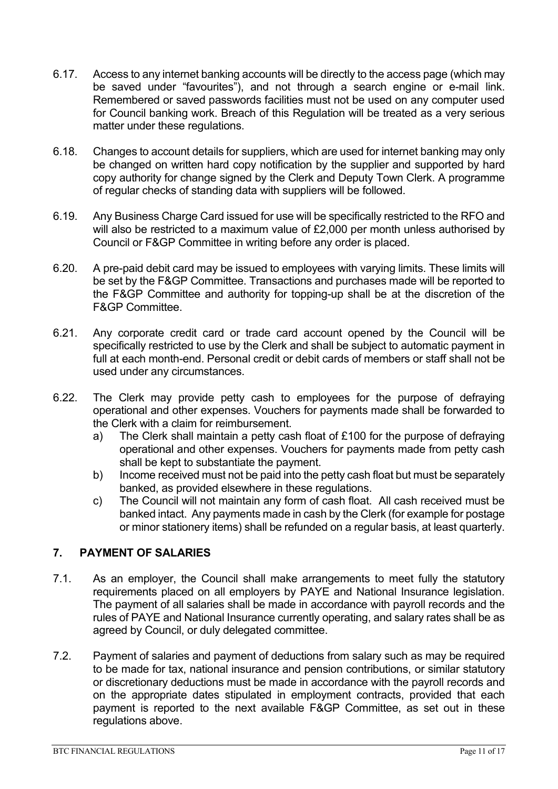- 6.17. Access to any internet banking accounts will be directly to the access page (which may be saved under "favourites"), and not through a search engine or e-mail link. Remembered or saved passwords facilities must not be used on any computer used for Council banking work. Breach of this Regulation will be treated as a very serious matter under these regulations.
- 6.18. Changes to account details for suppliers, which are used for internet banking may only be changed on written hard copy notification by the supplier and supported by hard copy authority for change signed by the Clerk and Deputy Town Clerk. A programme of regular checks of standing data with suppliers will be followed.
- 6.19. Any Business Charge Card issued for use will be specifically restricted to the RFO and will also be restricted to a maximum value of £2,000 per month unless authorised by Council or F&GP Committee in writing before any order is placed.
- 6.20. A pre-paid debit card may be issued to employees with varying limits. These limits will be set by the F&GP Committee. Transactions and purchases made will be reported to the F&GP Committee and authority for topping-up shall be at the discretion of the F&GP Committee.
- 6.21. Any corporate credit card or trade card account opened by the Council will be specifically restricted to use by the Clerk and shall be subject to automatic payment in full at each month-end. Personal credit or debit cards of members or staff shall not be used under any circumstances.
- 6.22. The Clerk may provide petty cash to employees for the purpose of defraying operational and other expenses. Vouchers for payments made shall be forwarded to the Clerk with a claim for reimbursement.
	- a) The Clerk shall maintain a petty cash float of £100 for the purpose of defraying operational and other expenses. Vouchers for payments made from petty cash shall be kept to substantiate the payment.
	- b) Income received must not be paid into the petty cash float but must be separately banked, as provided elsewhere in these regulations.
	- c) The Council will not maintain any form of cash float. All cash received must be banked intact. Any payments made in cash by the Clerk (for example for postage or minor stationery items) shall be refunded on a regular basis, at least quarterly.

### <span id="page-10-0"></span>**7. PAYMENT OF SALARIES**

- 7.1. As an employer, the Council shall make arrangements to meet fully the statutory requirements placed on all employers by PAYE and National Insurance legislation. The payment of all salaries shall be made in accordance with payroll records and the rules of PAYE and National Insurance currently operating, and salary rates shall be as agreed by Council, or duly delegated committee.
- 7.2. Payment of salaries and payment of deductions from salary such as may be required to be made for tax, national insurance and pension contributions, or similar statutory or discretionary deductions must be made in accordance with the payroll records and on the appropriate dates stipulated in employment contracts, provided that each payment is reported to the next available F&GP Committee, as set out in these regulations above.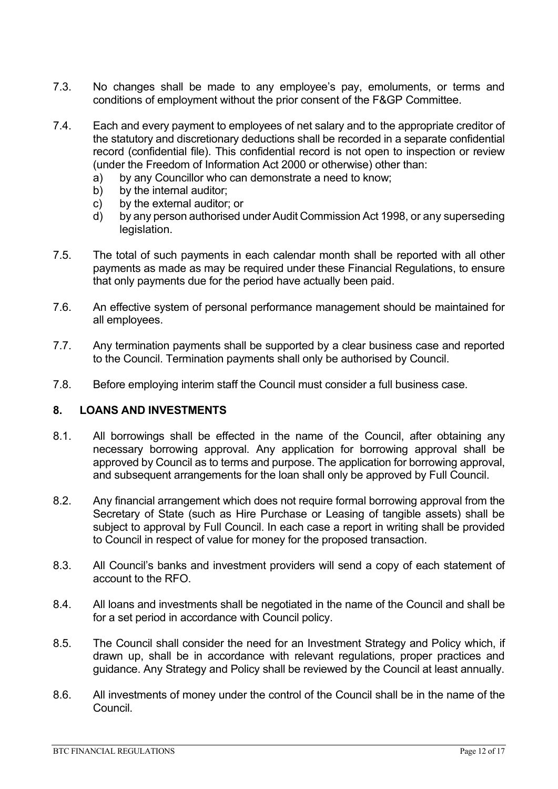- 7.3. No changes shall be made to any employee's pay, emoluments, or terms and conditions of employment without the prior consent of the F&GP Committee.
- 7.4. Each and every payment to employees of net salary and to the appropriate creditor of the statutory and discretionary deductions shall be recorded in a separate confidential record (confidential file). This confidential record is not open to inspection or review (under the Freedom of Information Act 2000 or otherwise) other than:
	- a) by any Councillor who can demonstrate a need to know;
	- b) by the internal auditor:
	- c) by the external auditor; or
	- d) by any person authorised under Audit Commission Act 1998, or any superseding legislation.
- 7.5. The total of such payments in each calendar month shall be reported with all other payments as made as may be required under these Financial Regulations, to ensure that only payments due for the period have actually been paid.
- 7.6. An effective system of personal performance management should be maintained for all employees.
- 7.7. Any termination payments shall be supported by a clear business case and reported to the Council. Termination payments shall only be authorised by Council.
- 7.8. Before employing interim staff the Council must consider a full business case.

#### <span id="page-11-0"></span>**8. LOANS AND INVESTMENTS**

- 8.1. All borrowings shall be effected in the name of the Council, after obtaining any necessary borrowing approval. Any application for borrowing approval shall be approved by Council as to terms and purpose. The application for borrowing approval, and subsequent arrangements for the loan shall only be approved by Full Council.
- 8.2. Any financial arrangement which does not require formal borrowing approval from the Secretary of State (such as Hire Purchase or Leasing of tangible assets) shall be subject to approval by Full Council. In each case a report in writing shall be provided to Council in respect of value for money for the proposed transaction.
- 8.3. All Council's banks and investment providers will send a copy of each statement of account to the RFO.
- 8.4. All loans and investments shall be negotiated in the name of the Council and shall be for a set period in accordance with Council policy.
- 8.5. The Council shall consider the need for an Investment Strategy and Policy which, if drawn up, shall be in accordance with relevant regulations, proper practices and guidance. Any Strategy and Policy shall be reviewed by the Council at least annually.
- 8.6. All investments of money under the control of the Council shall be in the name of the Council.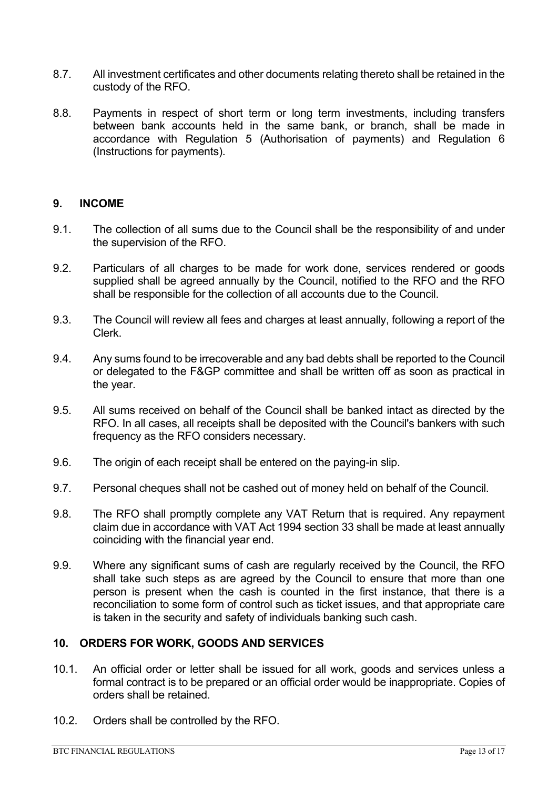- 8.7. All investment certificates and other documents relating thereto shall be retained in the custody of the RFO.
- 8.8. Payments in respect of short term or long term investments, including transfers between bank accounts held in the same bank, or branch, shall be made in accordance with Regulation 5 (Authorisation of payments) and Regulation 6 (Instructions for payments).

#### <span id="page-12-0"></span>**9. INCOME**

- 9.1. The collection of all sums due to the Council shall be the responsibility of and under the supervision of the RFO.
- 9.2. Particulars of all charges to be made for work done, services rendered or goods supplied shall be agreed annually by the Council, notified to the RFO and the RFO shall be responsible for the collection of all accounts due to the Council.
- 9.3. The Council will review all fees and charges at least annually, following a report of the Clerk.
- 9.4. Any sums found to be irrecoverable and any bad debts shall be reported to the Council or delegated to the F&GP committee and shall be written off as soon as practical in the year.
- 9.5. All sums received on behalf of the Council shall be banked intact as directed by the RFO. In all cases, all receipts shall be deposited with the Council's bankers with such frequency as the RFO considers necessary.
- 9.6. The origin of each receipt shall be entered on the paying-in slip.
- 9.7. Personal cheques shall not be cashed out of money held on behalf of the Council.
- 9.8. The RFO shall promptly complete any VAT Return that is required. Any repayment claim due in accordance with VAT Act 1994 section 33 shall be made at least annually coinciding with the financial year end.
- 9.9. Where any significant sums of cash are regularly received by the Council, the RFO shall take such steps as are agreed by the Council to ensure that more than one person is present when the cash is counted in the first instance, that there is a reconciliation to some form of control such as ticket issues, and that appropriate care is taken in the security and safety of individuals banking such cash.

#### <span id="page-12-1"></span>**10. ORDERS FOR WORK, GOODS AND SERVICES**

- 10.1. An official order or letter shall be issued for all work, goods and services unless a formal contract is to be prepared or an official order would be inappropriate. Copies of orders shall be retained.
- 10.2. Orders shall be controlled by the RFO.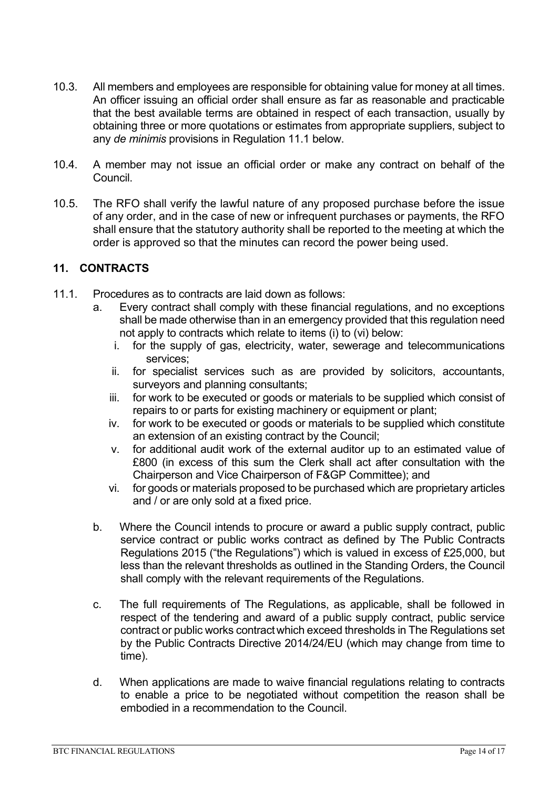- 10.3. All members and employees are responsible for obtaining value for money at all times. An officer issuing an official order shall ensure as far as reasonable and practicable that the best available terms are obtained in respect of each transaction, usually by obtaining three or more quotations or estimates from appropriate suppliers, subject to any *de minimis* provisions in Regulation 11.1 below.
- 10.4. A member may not issue an official order or make any contract on behalf of the Council.
- 10.5. The RFO shall verify the lawful nature of any proposed purchase before the issue of any order, and in the case of new or infrequent purchases or payments, the RFO shall ensure that the statutory authority shall be reported to the meeting at which the order is approved so that the minutes can record the power being used.

#### <span id="page-13-0"></span>**11. CONTRACTS**

- 11.1. Procedures as to contracts are laid down as follows:
	- a. Every contract shall comply with these financial regulations, and no exceptions shall be made otherwise than in an emergency provided that this regulation need not apply to contracts which relate to items (i) to (vi) below:
		- i. for the supply of gas, electricity, water, sewerage and telecommunications services;
		- ii. for specialist services such as are provided by solicitors, accountants, surveyors and planning consultants;
		- iii. for work to be executed or goods or materials to be supplied which consist of repairs to or parts for existing machinery or equipment or plant;
		- iv. for work to be executed or goods or materials to be supplied which constitute an extension of an existing contract by the Council;
		- v. for additional audit work of the external auditor up to an estimated value of £800 (in excess of this sum the Clerk shall act after consultation with the Chairperson and Vice Chairperson of F&GP Committee); and
		- vi. for goods or materials proposed to be purchased which are proprietary articles and / or are only sold at a fixed price.
	- b. Where the Council intends to procure or award a public supply contract, public service contract or public works contract as defined by The Public Contracts Regulations 2015 ("the Regulations") which is valued in excess of £25,000, but less than the relevant thresholds as outlined in the Standing Orders, the Council shall comply with the relevant requirements of the Regulations.
	- c. The full requirements of The Regulations, as applicable, shall be followed in respect of the tendering and award of a public supply contract, public service contract or public works contractwhich exceed thresholds in The Regulations set by the Public Contracts Directive 2014/24/EU (which may change from time to time).
	- d. When applications are made to waive financial regulations relating to contracts to enable a price to be negotiated without competition the reason shall be embodied in a recommendation to the Council.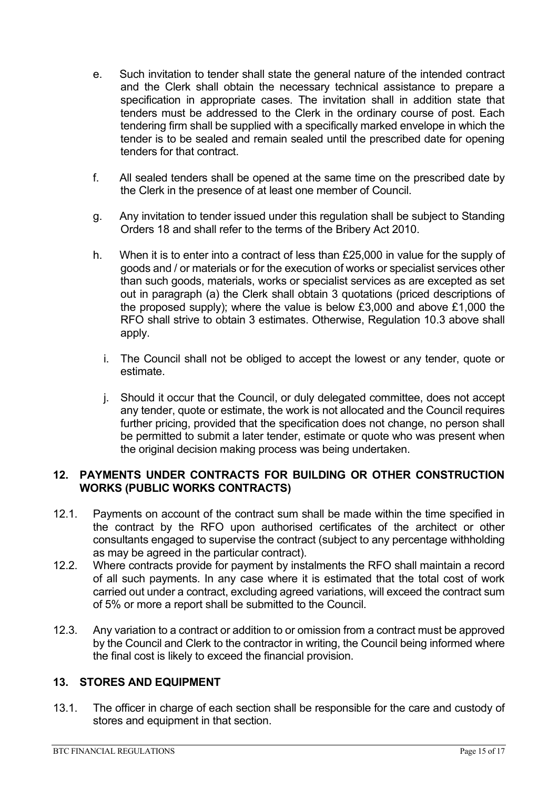- e. Such invitation to tender shall state the general nature of the intended contract and the Clerk shall obtain the necessary technical assistance to prepare a specification in appropriate cases. The invitation shall in addition state that tenders must be addressed to the Clerk in the ordinary course of post. Each tendering firm shall be supplied with a specifically marked envelope in which the tender is to be sealed and remain sealed until the prescribed date for opening tenders for that contract.
- f. All sealed tenders shall be opened at the same time on the prescribed date by the Clerk in the presence of at least one member of Council.
- g. Any invitation to tender issued under this regulation shall be subject to Standing Orders 18 and shall refer to the terms of the Bribery Act 2010.
- h. When it is to enter into a contract of less than £25,000 in value for the supply of goods and / or materials or for the execution of works or specialist services other than such goods, materials, works or specialist services as are excepted as set out in paragraph (a) the Clerk shall obtain 3 quotations (priced descriptions of the proposed supply); where the value is below £3,000 and above £1,000 the RFO shall strive to obtain 3 estimates. Otherwise, Regulation 10.3 above shall apply.
	- i. The Council shall not be obliged to accept the lowest or any tender, quote or estimate.
	- j. Should it occur that the Council, or duly delegated committee, does not accept any tender, quote or estimate, the work is not allocated and the Council requires further pricing, provided that the specification does not change, no person shall be permitted to submit a later tender, estimate or quote who was present when the original decision making process was being undertaken.

#### <span id="page-14-0"></span>**12. PAYMENTS UNDER CONTRACTS FOR BUILDING OR OTHER CONSTRUCTION WORKS (PUBLIC WORKS CONTRACTS)**

- 12.1. Payments on account of the contract sum shall be made within the time specified in the contract by the RFO upon authorised certificates of the architect or other consultants engaged to supervise the contract (subject to any percentage withholding as may be agreed in the particular contract).
- 12.2. Where contracts provide for payment by instalments the RFO shall maintain a record of all such payments. In any case where it is estimated that the total cost of work carried out under a contract, excluding agreed variations, will exceed the contract sum of 5% or more a report shall be submitted to the Council.
- 12.3. Any variation to a contract or addition to or omission from a contract must be approved by the Council and Clerk to the contractor in writing, the Council being informed where the final cost is likely to exceed the financial provision.

#### <span id="page-14-1"></span>**13. STORES AND EQUIPMENT**

13.1. The officer in charge of each section shall be responsible for the care and custody of stores and equipment in that section.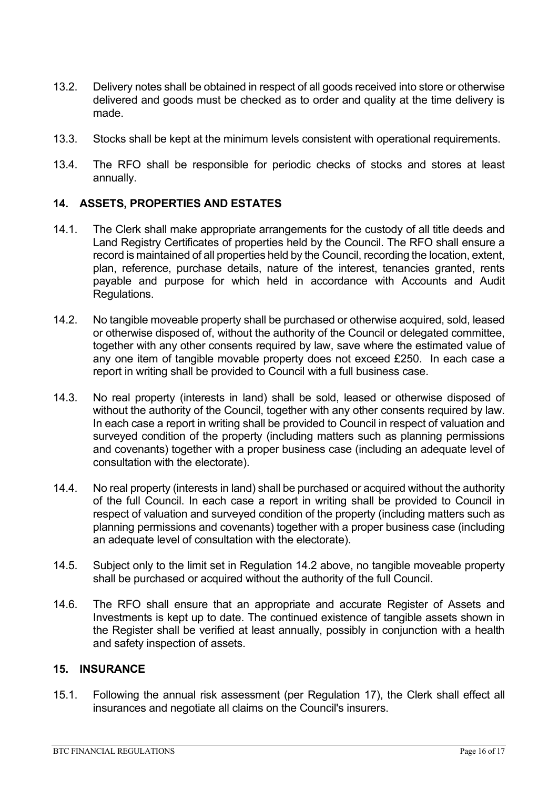- 13.2. Delivery notes shall be obtained in respect of all goods received into store or otherwise delivered and goods must be checked as to order and quality at the time delivery is made.
- 13.3. Stocks shall be kept at the minimum levels consistent with operational requirements.
- 13.4. The RFO shall be responsible for periodic checks of stocks and stores at least annually.

#### <span id="page-15-0"></span>**14. ASSETS, PROPERTIES AND ESTATES**

- 14.1. The Clerk shall make appropriate arrangements for the custody of all title deeds and Land Registry Certificates of properties held by the Council. The RFO shall ensure a record is maintained of all properties held by the Council, recording the location, extent, plan, reference, purchase details, nature of the interest, tenancies granted, rents payable and purpose for which held in accordance with Accounts and Audit Regulations.
- 14.2. No tangible moveable property shall be purchased or otherwise acquired, sold, leased or otherwise disposed of, without the authority of the Council or delegated committee, together with any other consents required by law, save where the estimated value of any one item of tangible movable property does not exceed £250. In each case a report in writing shall be provided to Council with a full business case.
- 14.3. No real property (interests in land) shall be sold, leased or otherwise disposed of without the authority of the Council, together with any other consents required by law. In each case a report in writing shall be provided to Council in respect of valuation and surveyed condition of the property (including matters such as planning permissions and covenants) together with a proper business case (including an adequate level of consultation with the electorate).
- 14.4. No real property (interests in land) shall be purchased or acquired without the authority of the full Council. In each case a report in writing shall be provided to Council in respect of valuation and surveyed condition of the property (including matters such as planning permissions and covenants) together with a proper business case (including an adequate level of consultation with the electorate).
- 14.5. Subject only to the limit set in Regulation 14.2 above, no tangible moveable property shall be purchased or acquired without the authority of the full Council.
- 14.6. The RFO shall ensure that an appropriate and accurate Register of Assets and Investments is kept up to date. The continued existence of tangible assets shown in the Register shall be verified at least annually, possibly in conjunction with a health and safety inspection of assets.

#### <span id="page-15-1"></span>**15. INSURANCE**

15.1. Following the annual risk assessment (per Regulation 17), the Clerk shall effect all insurances and negotiate all claims on the Council's insurers.